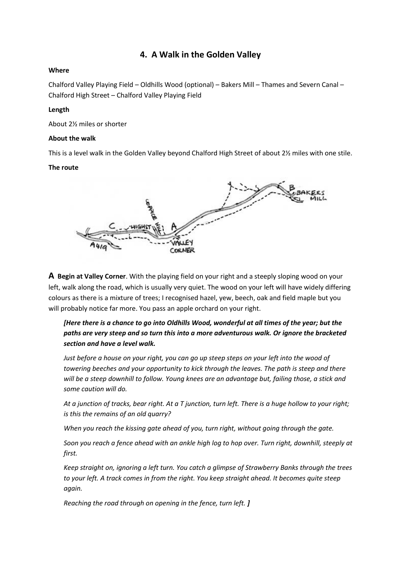# **4. A Walk in the Golden Valley**

### **Where**

Chalford Valley Playing Field – Oldhills Wood (optional) – Bakers Mill – Thames and Severn Canal – Chalford High Street – Chalford Valley Playing Field

## **Length**

About 2½ miles or shorter

## **About the walk**

This is a level walk in the Golden Valley beyond Chalford High Street of about 2½ miles with one stile.

#### **The route**



**A Begin at Valley Corner**. With the playing field on your right and a steeply sloping wood on your left, walk along the road, which is usually very quiet. The wood on your left will have widely differing colours as there is a mixture of trees; I recognised hazel, yew, beech, oak and field maple but you will probably notice far more. You pass an apple orchard on your right.

## *[Here there is a chance to go into Oldhills Wood, wonderful at all times of the year; but the paths are very steep and so turn this into a more adventurous walk. Or ignore the bracketed section and have a level walk.*

*Just before a house on your right, you can go up steep steps on your left into the wood of towering beeches and your opportunity to kick through the leaves. The path is steep and there will be a steep downhill to follow. Young knees are an advantage but, failing those, a stick and some caution will do.*

*At a junction of tracks, bear right. At a T junction, turn left. There is a huge hollow to your right; is this the remains of an old quarry?*

*When you reach the kissing gate ahead of you, turn right, without going through the gate.*

*Soon you reach a fence ahead with an ankle high log to hop over. Turn right, downhill, steeply at first.*

*Keep straight on, ignoring a left turn. You catch a glimpse of Strawberry Banks through the trees to your left. A track comes in from the right. You keep straight ahead. It becomes quite steep again.*

*Reaching the road through on opening in the fence, turn left. ]*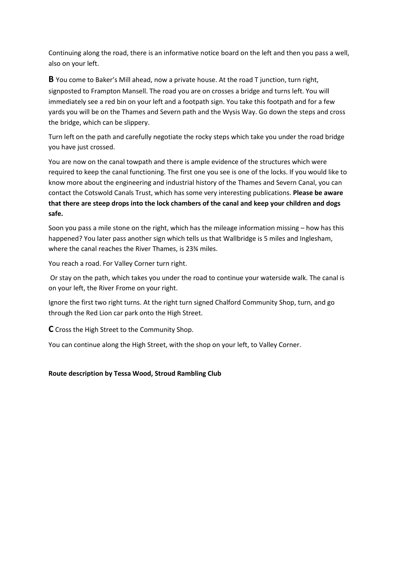Continuing along the road, there is an informative notice board on the left and then you pass a well, also on your left.

**B** You come to Baker's Mill ahead, now a private house. At the road T junction, turn right, signposted to Frampton Mansell. The road you are on crosses a bridge and turns left. You will immediately see a red bin on your left and a footpath sign. You take this footpath and for a few yards you will be on the Thames and Severn path and the Wysis Way. Go down the steps and cross the bridge, which can be slippery.

Turn left on the path and carefully negotiate the rocky steps which take you under the road bridge you have just crossed.

You are now on the canal towpath and there is ample evidence of the structures which were required to keep the canal functioning. The first one you see is one of the locks. If you would like to know more about the engineering and industrial history of the Thames and Severn Canal, you can contact the Cotswold Canals Trust, which has some very interesting publications. **Please be aware that there are steep drops into the lock chambers of the canal and keep your children and dogs safe.**

Soon you pass a mile stone on the right, which has the mileage information missing – how has this happened? You later pass another sign which tells us that Wallbridge is 5 miles and Inglesham, where the canal reaches the River Thames, is 23¾ miles.

You reach a road. For Valley Corner turn right.

Or stay on the path, which takes you under the road to continue your waterside walk. The canal is on your left, the River Frome on your right.

Ignore the first two right turns. At the right turn signed Chalford Community Shop, turn, and go through the Red Lion car park onto the High Street.

**C** Cross the High Street to the Community Shop.

You can continue along the High Street, with the shop on your left, to Valley Corner.

#### **Route description by Tessa Wood, Stroud Rambling Club**